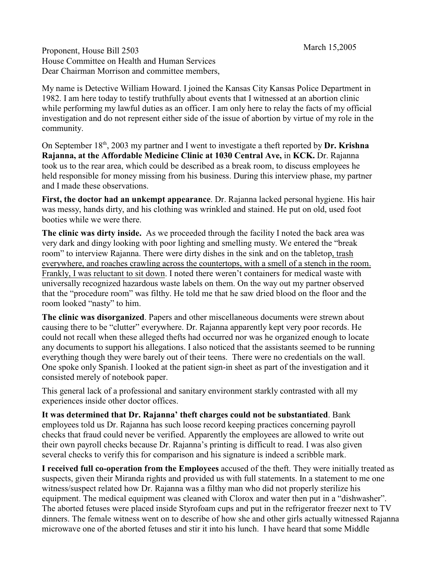Proponent, House Bill 2503 March 15,2005 House Committee on Health and Human Services Dear Chairman Morrison and committee members,

My name is Detective William Howard. I joined the Kansas City Kansas Police Department in 1982. I am here today to testify truthfully about events that I witnessed at an abortion clinic while performing my lawful duties as an officer. I am only here to relay the facts of my official investigation and do not represent either side of the issue of abortion by virtue of my role in the community.

On September 18<sup>th</sup>, 2003 my partner and I went to investigate a theft reported by Dr. Krishna **Rajanna, at the Affordable Medicine Clinic at 1030 Central Ave,** in **KCK.** Dr. Rajanna took us to the rear area, which could be described as a break room, to discuss employees he held responsible for money missing from his business. During this interview phase, my partner and I made these observations.

**First, the doctor had an unkempt appearance**. Dr. Rajanna lacked personal hygiene. His hair was messy, hands dirty, and his clothing was wrinkled and stained. He put on old, used foot booties while we were there.

**The clinic was dirty inside.** As we proceeded through the facility I noted the back area was very dark and dingy looking with poor lighting and smelling musty. We entered the "break room" to interview Rajanna. There were dirty dishes in the sink and on the tabletop, trash everywhere, and roaches crawling across the countertops, with a smell of a stench in the room. Frankly, I was reluctant to sit down. I noted there weren't containers for medical waste with universally recognized hazardous waste labels on them. On the way out my partner observed that the "procedure room" was filthy. He told me that he saw dried blood on the floor and the room looked "nasty" to him.

**The clinic was disorganized**. Papers and other miscellaneous documents were strewn about causing there to be "clutter" everywhere. Dr. Rajanna apparently kept very poor records. He could not recall when these alleged thefts had occurred nor was he organized enough to locate any documents to support his allegations. I also noticed that the assistants seemed to be running everything though they were barely out of their teens. There were no credentials on the wall. One spoke only Spanish. I looked at the patient sign-in sheet as part of the investigation and it consisted merely of notebook paper.

This general lack of a professional and sanitary environment starkly contrasted with all my experiences inside other doctor offices.

**It was determined that Dr. Rajanna' theft charges could not be substantiated**. Bank employees told us Dr. Rajanna has such loose record keeping practices concerning payroll checks that fraud could never be verified. Apparently the employees are allowed to write out their own payroll checks because Dr. Rajanna's printing is difficult to read. I was also given several checks to verify this for comparison and his signature is indeed a scribble mark.

**I received full co-operation from the Employees** accused of the theft. They were initially treated as suspects, given their Miranda rights and provided us with full statements. In a statement to me one witness/suspect related how Dr. Rajanna was a filthy man who did not properly sterilize his equipment. The medical equipment was cleaned with Clorox and water then put in a "dishwasher". The aborted fetuses were placed inside Styrofoam cups and put in the refrigerator freezer next to TV dinners. The female witness went on to describe of how she and other girls actually witnessed Rajanna microwave one of the aborted fetuses and stir it into his lunch. I have heard that some Middle